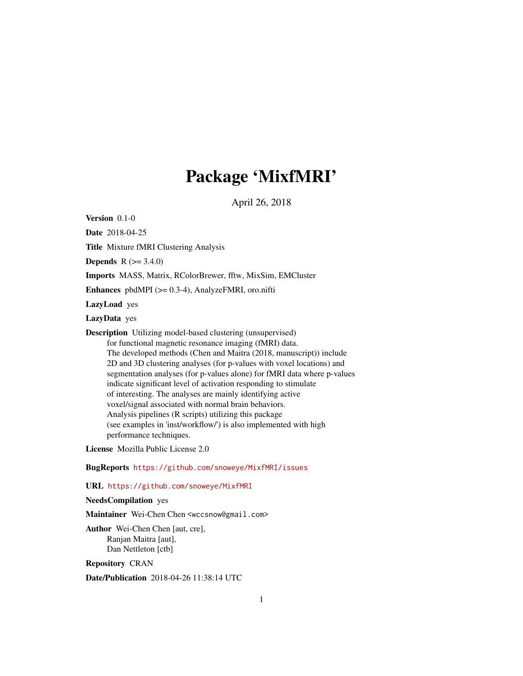# Package 'MixfMRI'

April 26, 2018

Version 0.1-0

Date 2018-04-25

Title Mixture fMRI Clustering Analysis

**Depends** R  $(>= 3.4.0)$ 

Imports MASS, Matrix, RColorBrewer, fftw, MixSim, EMCluster

Enhances pbdMPI  $(>= 0.3-4)$ , AnalyzeFMRI, oro.nifti

LazyLoad yes

LazyData yes

Description Utilizing model-based clustering (unsupervised) for functional magnetic resonance imaging (fMRI) data. The developed methods (Chen and Maitra (2018, manuscript)) include 2D and 3D clustering analyses (for p-values with voxel locations) and segmentation analyses (for p-values alone) for fMRI data where p-values indicate significant level of activation responding to stimulate of interesting. The analyses are mainly identifying active voxel/signal associated with normal brain behaviors. Analysis pipelines (R scripts) utilizing this package (see examples in 'inst/workflow/') is also implemented with high performance techniques.

License Mozilla Public License 2.0

BugReports <https://github.com/snoweye/MixfMRI/issues>

URL <https://github.com/snoweye/MixfMRI>

#### NeedsCompilation yes

Maintainer Wei-Chen Chen <wccsnow@gmail.com>

Author Wei-Chen Chen [aut, cre], Ranjan Maitra [aut], Dan Nettleton [ctb]

Repository CRAN

Date/Publication 2018-04-26 11:38:14 UTC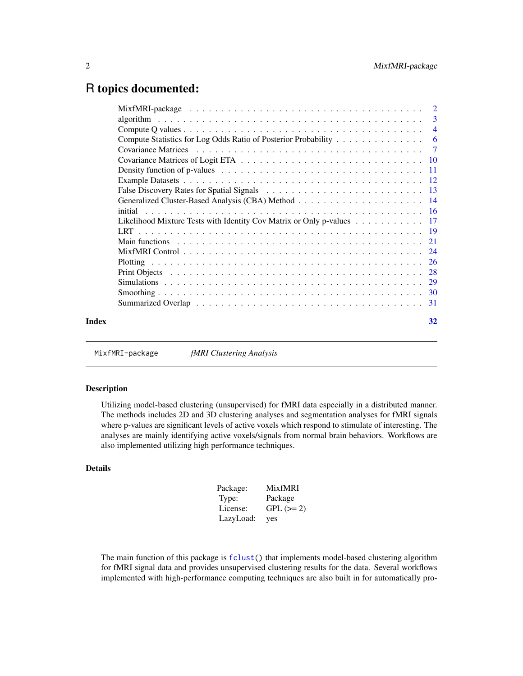# <span id="page-1-0"></span>R topics documented:

|       | Compute Statistics for Log Odds Ratio of Posterior Probability 6                                            |    |
|-------|-------------------------------------------------------------------------------------------------------------|----|
|       |                                                                                                             |    |
|       |                                                                                                             |    |
|       |                                                                                                             |    |
|       |                                                                                                             |    |
|       |                                                                                                             |    |
|       |                                                                                                             |    |
|       |                                                                                                             |    |
|       | Likelihood Mixture Tests with Identity Cov Matrix or Only p-values 17                                       |    |
|       |                                                                                                             |    |
|       | Main functions $\ldots \ldots \ldots \ldots \ldots \ldots \ldots \ldots \ldots \ldots \ldots \ldots \ldots$ |    |
|       |                                                                                                             |    |
|       |                                                                                                             |    |
|       |                                                                                                             |    |
|       |                                                                                                             |    |
|       |                                                                                                             |    |
|       |                                                                                                             |    |
| Index |                                                                                                             | 32 |
|       |                                                                                                             |    |

MixfMRI-package *fMRI Clustering Analysis*

# Description

Utilizing model-based clustering (unsupervised) for fMRI data especially in a distributed manner. The methods includes 2D and 3D clustering analyses and segmentation analyses for fMRI signals where p-values are significant levels of active voxels which respond to stimulate of interesting. The analyses are mainly identifying active voxels/signals from normal brain behaviors. Workflows are also implemented utilizing high performance techniques.

#### Details

| Package:  | <b>MixfMRI</b> |
|-----------|----------------|
| Type:     | Package        |
| License:  | $GPL (=2)$     |
| LazyLoad: | yes            |

The main function of this package is [fclust\(](#page-20-1)) that implements model-based clustering algorithm for fMRI signal data and provides unsupervised clustering results for the data. Several workflows implemented with high-performance computing techniques are also built in for automatically pro-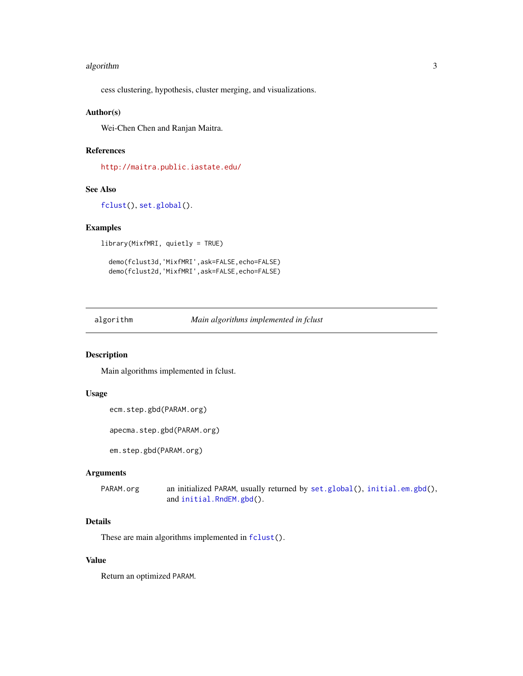#### <span id="page-2-0"></span>algorithm 3

cess clustering, hypothesis, cluster merging, and visualizations.

#### Author(s)

Wei-Chen Chen and Ranjan Maitra.

# References

<http://maitra.public.iastate.edu/>

#### See Also

[fclust\(](#page-20-1)), [set.global\(](#page-20-1)).

#### Examples

library(MixfMRI, quietly = TRUE)

```
demo(fclust3d,'MixfMRI',ask=FALSE,echo=FALSE)
demo(fclust2d,'MixfMRI',ask=FALSE,echo=FALSE)
```
algorithm *Main algorithms implemented in fclust*

#### Description

Main algorithms implemented in fclust.

### Usage

```
ecm.step.gbd(PARAM.org)
```
apecma.step.gbd(PARAM.org)

em.step.gbd(PARAM.org)

#### Arguments

PARAM.org an initialized PARAM, usually returned by [set.global\(](#page-20-1)), [initial.em.gbd\(](#page-15-1)), and [initial.RndEM.gbd\(](#page-15-1)).

# Details

These are main algorithms implemented in  $fclust()$  $fclust()$ .

# Value

Return an optimized PARAM.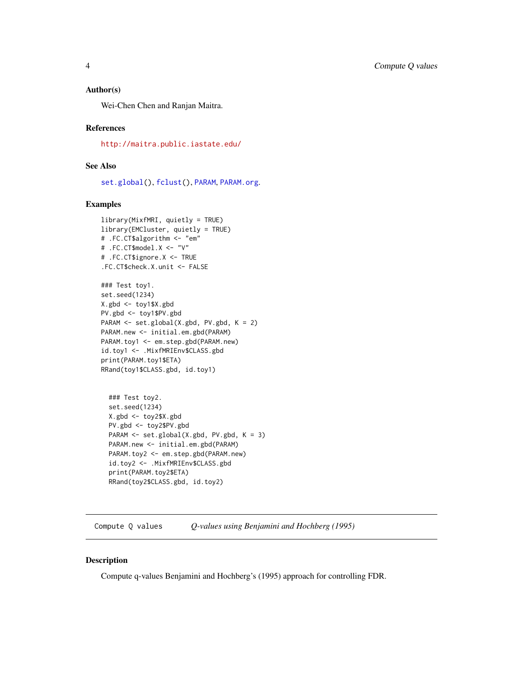#### <span id="page-3-0"></span>Author(s)

Wei-Chen Chen and Ranjan Maitra.

#### References

<http://maitra.public.iastate.edu/>

#### See Also

[set.global\(](#page-20-1)), [fclust\(](#page-20-1)), [PARAM](#page-20-1), [PARAM.org](#page-20-1).

#### Examples

```
library(MixfMRI, quietly = TRUE)
library(EMCluster, quietly = TRUE)
# .FC.CT$algorithm <- "em"
# .FC.CT$model.X <- "V"
# .FC.CT$ignore.X <- TRUE
.FC.CT$check.X.unit <- FALSE
```

```
### Test toy1.
set.seed(1234)
X.gbd <- toy1$X.gbd
PV.gbd <- toy1$PV.gbd
PARAM <- set.global(X.gbd, PV.gbd, K = 2)
PARAM.new <- initial.em.gbd(PARAM)
PARAM.toy1 <- em.step.gbd(PARAM.new)
id.toy1 <- .MixfMRIEnv$CLASS.gbd
print(PARAM.toy1$ETA)
RRand(toy1$CLASS.gbd, id.toy1)
```

```
### Test toy2.
set.seed(1234)
X.gbd <- toy2$X.gbd
PV.gbd <- toy2$PV.gbd
PARAM <- set.global(X.gbd, PV.gbd, K = 3)
PARAM.new <- initial.em.gbd(PARAM)
PARAM.toy2 <- em.step.gbd(PARAM.new)
id.toy2 <- .MixfMRIEnv$CLASS.gbd
print(PARAM.toy2$ETA)
RRand(toy2$CLASS.gbd, id.toy2)
```
Compute Q values *Q-values using Benjamini and Hochberg (1995)*

#### <span id="page-3-1"></span>Description

Compute q-values Benjamini and Hochberg's (1995) approach for controlling FDR.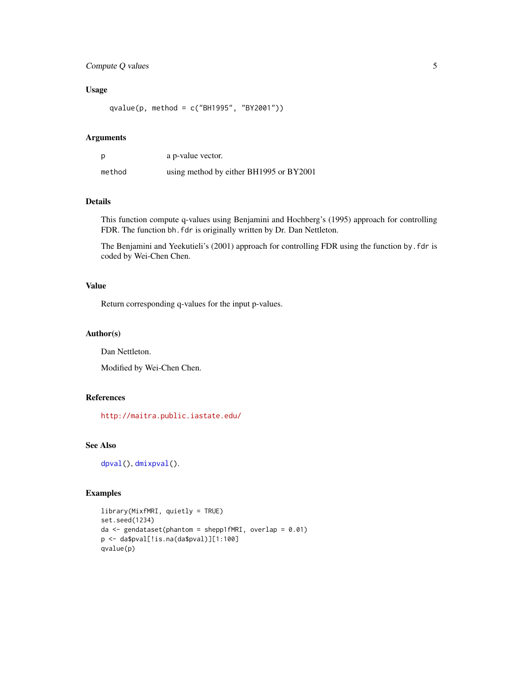# <span id="page-4-0"></span>Compute Q values 5

# Usage

```
qvalue(p, method = c("BH1995", "BY2001"))
```
#### Arguments

|        | a p-value vector.                       |
|--------|-----------------------------------------|
| method | using method by either BH1995 or BY2001 |

# Details

This function compute q-values using Benjamini and Hochberg's (1995) approach for controlling FDR. The function bh.fdr is originally written by Dr. Dan Nettleton.

The Benjamini and Yeekutieli's (2001) approach for controlling FDR using the function by.fdr is coded by Wei-Chen Chen.

# Value

Return corresponding q-values for the input p-values.

#### Author(s)

Dan Nettleton.

Modified by Wei-Chen Chen.

# References

<http://maitra.public.iastate.edu/>

# See Also

[dpval\(](#page-10-1)), [dmixpval\(](#page-10-1)).

# Examples

```
library(MixfMRI, quietly = TRUE)
set.seed(1234)
da \leq gendataset(phantom = shepp1fMRI, overlap = 0.01)
p <- da$pval[!is.na(da$pval)][1:100]
qvalue(p)
```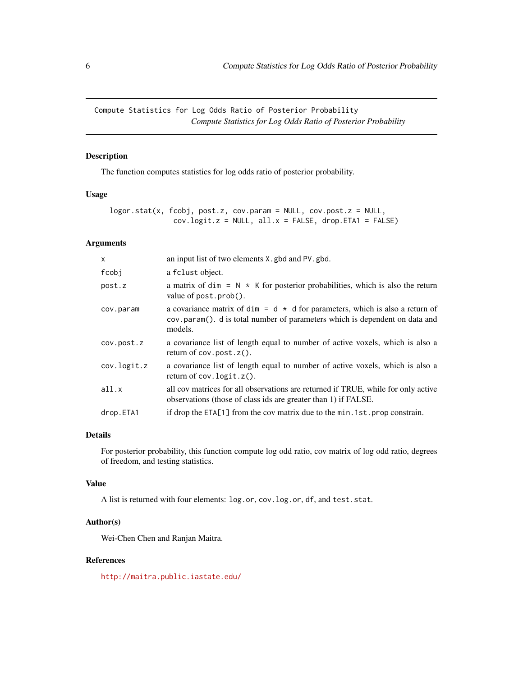<span id="page-5-0"></span>Compute Statistics for Log Odds Ratio of Posterior Probability *Compute Statistics for Log Odds Ratio of Posterior Probability*

# Description

The function computes statistics for log odds ratio of posterior probability.

#### Usage

```
logor.stat(x, fcobj, post.z, cov.param = NULL, cov.post.z = NULL,
              cov.logit.z = NULL, all.x = FALSE, drop.ETA1 = FALSE)
```
#### Arguments

| $\mathsf{x}$ | an input list of two elements X, gbd and PV, gbd.                                                                                                                             |
|--------------|-------------------------------------------------------------------------------------------------------------------------------------------------------------------------------|
| fcobj        | a fclust object.                                                                                                                                                              |
| post.z       | a matrix of dim = $N \times K$ for posterior probabilities, which is also the return<br>value of post.prob().                                                                 |
| cov.param    | a covariance matrix of dim = $d \times d$ for parameters, which is also a return of<br>cov.param(). d is total number of parameters which is dependent on data and<br>models. |
| cov.post.z   | a covariance list of length equal to number of active voxels, which is also a<br>return of $cov.post.z()$ .                                                                   |
| cov.logit.z  | a covariance list of length equal to number of active voxels, which is also a<br>return of $cov.logit.z()$ .                                                                  |
| all.x        | all cov matrices for all observations are returned if TRUE, while for only active<br>observations (those of class ids are greater than 1) if FALSE.                           |
| drop.ETA1    | if drop the $ETA[1]$ from the cov matrix due to the min. 1st. prop constrain.                                                                                                 |

### Details

For posterior probability, this function compute log odd ratio, cov matrix of log odd ratio, degrees of freedom, and testing statistics.

# Value

A list is returned with four elements: log.or, cov.log.or, df, and test.stat.

#### Author(s)

Wei-Chen Chen and Ranjan Maitra.

#### References

<http://maitra.public.iastate.edu/>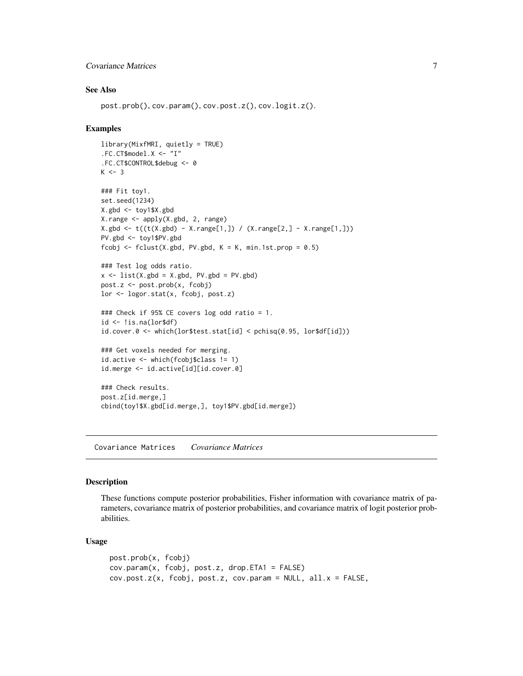# <span id="page-6-0"></span>Covariance Matrices 7

#### See Also

post.prob(), cov.param(), cov.post.z(), cov.logit.z().

#### Examples

```
library(MixfMRI, quietly = TRUE)
.FC.CT$model.X <- "I"
.FC.CT$CONTROL$debug <- 0
K < -3### Fit toy1.
set.seed(1234)
X.gbd <- toy1$X.gbd
X.range <- apply(X.gbd, 2, range)
X.gbd <- t((t(X.gbd) - X.range[1,]) / (X.range[2,] - X.range[1,]))
PV.gbd <- toy1$PV.gbd
fcobj <- fclust(X.gbd, PV.gbd, K = K, min.1st.prop = 0.5)
### Test log odds ratio.
x \le -\text{list}(X.\text{gbd} = X.\text{gbd}, \text{PV.gbd} = \text{PV.gbd})post.z <- post.prob(x, fcobj)
lor <- logor.stat(x, fcobj, post.z)
### Check if 95% CE covers log odd ratio = 1.
id \leftarrow !is.na(lor$df)
id.cover.0 <- which(lor$test.stat[id] < pchisq(0.95, lor$df[id]))
### Get voxels needed for merging.
id.active <- which(fcobj$class != 1)
id.merge <- id.active[id][id.cover.0]
### Check results.
post.z[id.merge,]
cbind(toy1$X.gbd[id.merge,], toy1$PV.gbd[id.merge])
```
Covariance Matrices *Covariance Matrices*

#### Description

These functions compute posterior probabilities, Fisher information with covariance matrix of parameters, covariance matrix of posterior probabilities, and covariance matrix of logit posterior probabilities.

#### Usage

```
post.prob(x, fcobj)
cov.param(x, fcobj, post.z, drop.ETA1 = FALSE)
cov.post.z(x, fcobj, post.z, cov.param = NULL, all.x = FALSE,
```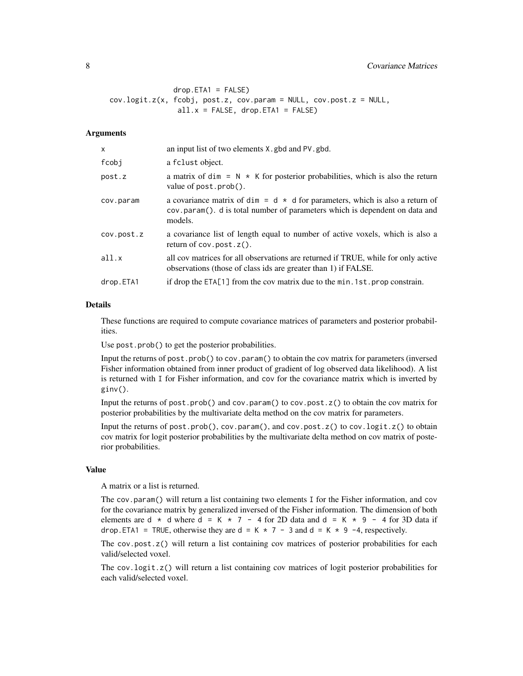# 8 Covariance Matrices

```
drop.ETA1 = FALSE)cov.logit.z(x, fcobj, post.z, cov.param = NULL, cov.post.z = NULL,
               all.x =FALSE, drop.ETA1 = FALSE)
```
#### Arguments

| X          | an input list of two elements X, gbd and PV, gbd.                                                                                                                             |
|------------|-------------------------------------------------------------------------------------------------------------------------------------------------------------------------------|
| fcobj      | a fclust object.                                                                                                                                                              |
| post.z     | a matrix of dim = $N \times K$ for posterior probabilities, which is also the return<br>value of post.prob().                                                                 |
| cov.param  | a covariance matrix of dim = $d \times d$ for parameters, which is also a return of<br>cov.param(). d is total number of parameters which is dependent on data and<br>models. |
| cov.post.z | a covariance list of length equal to number of active voxels, which is also a<br>return of $cov.post.z()$ .                                                                   |
| all.x      | all cov matrices for all observations are returned if TRUE, while for only active<br>observations (those of class ids are greater than 1) if FALSE.                           |
| drop.ETA1  | if drop the $ETA[1]$ from the cov matrix due to the min. 1st. prop constrain.                                                                                                 |
|            |                                                                                                                                                                               |

# Details

These functions are required to compute covariance matrices of parameters and posterior probabilities.

Use post.prob() to get the posterior probabilities.

Input the returns of post.prob() to cov.param() to obtain the cov matrix for parameters (inversed Fisher information obtained from inner product of gradient of log observed data likelihood). A list is returned with I for Fisher information, and cov for the covariance matrix which is inverted by ginv().

Input the returns of post.prob() and cov.param() to cov.post. $z($ ) to obtain the cov matrix for posterior probabilities by the multivariate delta method on the cov matrix for parameters.

Input the returns of post.prob(), cov.param(), and cov.post.z() to cov.logit.z() to obtain cov matrix for logit posterior probabilities by the multivariate delta method on cov matrix of posterior probabilities.

# Value

A matrix or a list is returned.

The cov.param() will return a list containing two elements I for the Fisher information, and cov for the covariance matrix by generalized inversed of the Fisher information. The dimension of both elements are d  $\star$  d where d = K  $\star$  7 - 4 for 2D data and d = K  $\star$  9 - 4 for 3D data if drop. ETA1 = TRUE, otherwise they are d = K  $*$  7 - 3 and d = K  $*$  9 -4, respectively.

The cov.post.z() will return a list containing cov matrices of posterior probabilities for each valid/selected voxel.

The cov.logit.z() will return a list containing cov matrices of logit posterior probabilities for each valid/selected voxel.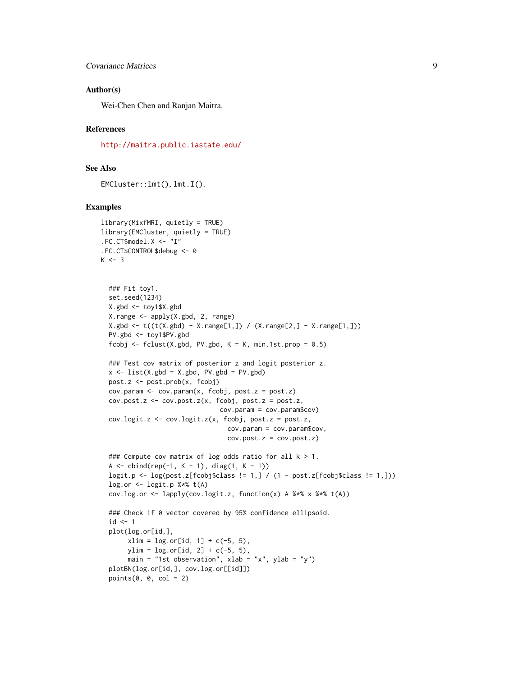#### Author(s)

Wei-Chen Chen and Ranjan Maitra.

#### References

<http://maitra.public.iastate.edu/>

# See Also

EMCluster::lmt(), lmt.I().

#### Examples

```
library(MixfMRI, quietly = TRUE)
library(EMCluster, quietly = TRUE)
.FC.CT$model.X <- "I"
.FC.CT$CONTROL$debug <- 0
K < -3
```

```
### Fit toy1.
set.seed(1234)
X.gbd <- toy1$X.gbd
X.range <- apply(X.gbd, 2, range)
X.gbd \leftarrow t((t(X.gbd) - X.random[1,]) / (X.random[2,] - X.random[1,]))PV.gbd <- toy1$PV.gbd
fcobj \le fclust(X.gbd, PV.gbd, K = K, min.1st.prop = 0.5)
### Test cov matrix of posterior z and logit posterior z.
x \le -\text{list}(X.\text{gbd} = X.\text{gbd}, \text{PV.gbd} = \text{PV.gbd})post.z <- post.prob(x, fcobj)
cov.param \leftarrow cov.param(x, fcobj, post.z = post.z)cov.post.z \le cov.post.z(x, fcobj, post.z = post.z,cov.param = cov.param$cov)
cov.logit.z <- cov.logit.z(x, fcobj, post.z = post.z,
                                 cov.param = cov.param$cov,
                                 cov.post.z = cov.post.z)
### Compute cov matrix of log odds ratio for all k > 1.
A \le cbind(rep(-1, K - 1), diag(1, K - 1))
logit.p \leftarrow log(post.z[fcobj$class != 1,] / (1 - post.z[fcobj$class != 1,]))
logor \leftarrow logit.p %*% t(A)cov.log.or <- lapply(cov.logit.z, function(x) A %*% x %*% t(A))
### Check if 0 vector covered by 95% confidence ellipsoid.
id \leftarrow 1plot(log.or[id,],
     xlim = log.or[id, 1] + c(-5, 5),ylim = log.cr[id, 2] + c(-5, 5),main = "1st observation", xlab = "x", ylab = "y")
plotBN(log.or[id,], cov.log.or[[id]])
points(0, 0, col = 2)
```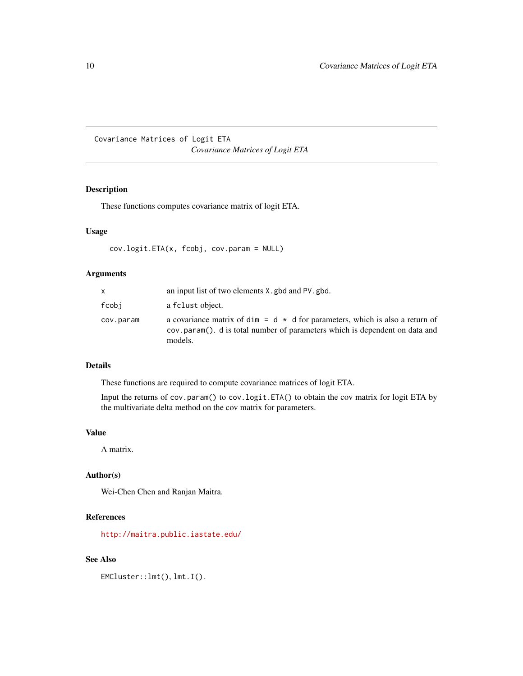<span id="page-9-0"></span>Covariance Matrices of Logit ETA *Covariance Matrices of Logit ETA*

# Description

These functions computes covariance matrix of logit ETA.

#### Usage

```
cov.logit.ETA(x, fcobj, cov.param = NULL)
```
# Arguments

|           | an input list of two elements X, gbd and PV, gbd.                                                                                                                             |
|-----------|-------------------------------------------------------------------------------------------------------------------------------------------------------------------------------|
| fcobi     | a fclust object.                                                                                                                                                              |
| cov.param | a covariance matrix of dim = $d \times d$ for parameters, which is also a return of<br>cov.param(). d is total number of parameters which is dependent on data and<br>models. |

# Details

These functions are required to compute covariance matrices of logit ETA.

Input the returns of cov.param() to cov.logit.ETA() to obtain the cov matrix for logit ETA by the multivariate delta method on the cov matrix for parameters.

# Value

A matrix.

# Author(s)

Wei-Chen Chen and Ranjan Maitra.

# References

<http://maitra.public.iastate.edu/>

# See Also

EMCluster::lmt(), lmt.I().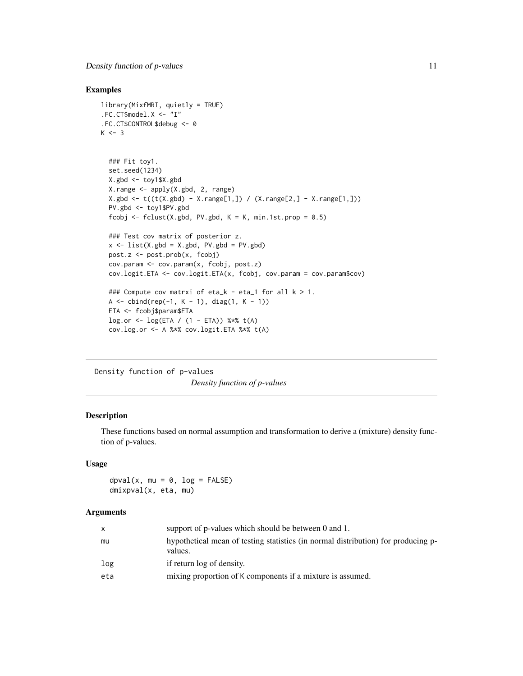# <span id="page-10-0"></span>Examples

```
library(MixfMRI, quietly = TRUE)
.FC.CT$model.X <- "I"
.FC.CT$CONTROL$debug <- 0
K < -3### Fit toy1.
  set.seed(1234)
  X.gbd \leq toy1$X.gbd
  X.range <- apply(X.gbd, 2, range)
  X.gbd <- t((t(X.gbd) - X.range[1,]) / (X.range[2,] - X.range[1,]))
  PV.gbd <- toy1$PV.gbd
  fcobj <- fclust(X.gbd, PV.gbd, K = K, min.1st.prop = 0.5)
  ### Test cov matrix of posterior z.
  x \le -\text{list}(X.\text{gbd} = X.\text{gbd}, PV.\text{gbd} = PV.\text{gbd})post.z <- post.prob(x, fcobj)
  cov.param <- cov.param(x, fcobj, post.z)
  cov.logit.ETA <- cov.logit.ETA(x, fcobj, cov.param = cov.param$cov)
  ### Compute cov matrxi of eta_k - eta_1 for all k > 1.
  A \le - \text{cbind}(rep(-1, K - 1), diag(1, K - 1))ETA <- fcobj$param$ETA
  log.or <- log(ETA / (1 - ETA)) %*% t(A)
  cov.log.or <- A %*% cov.logit.ETA %*% t(A)
```
Density function of p-values *Density function of p-values*

# <span id="page-10-1"></span>Description

These functions based on normal assumption and transformation to derive a (mixture) density function of p-values.

#### Usage

 $d$ pval(x, mu = 0,  $log$  = FALSE) dmixpval(x, eta, mu)

# **Arguments**

| X   | support of p-values which should be between 0 and 1.                                         |
|-----|----------------------------------------------------------------------------------------------|
| mu  | hypothetical mean of testing statistics (in normal distribution) for producing p-<br>values. |
| log | if return log of density.                                                                    |
| eta | mixing proportion of K components if a mixture is assumed.                                   |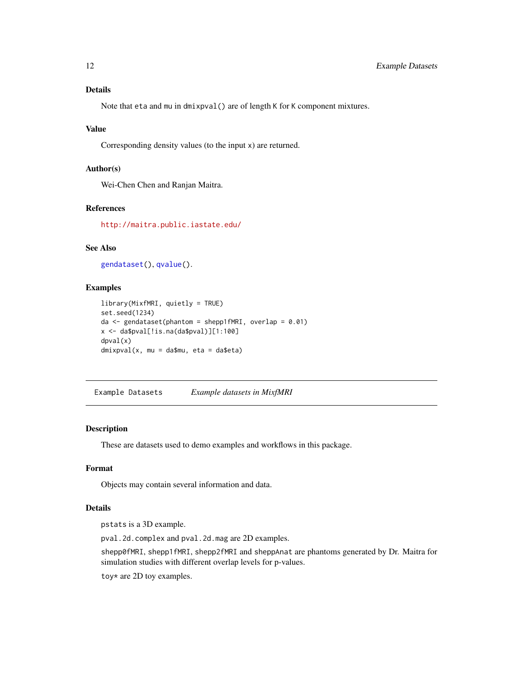# <span id="page-11-0"></span>Details

Note that eta and mu in dmixpval() are of length K for K component mixtures.

# Value

Corresponding density values (to the input x) are returned.

#### Author(s)

Wei-Chen Chen and Ranjan Maitra.

# References

<http://maitra.public.iastate.edu/>

# See Also

[gendataset\(](#page-28-1)), [qvalue\(](#page-3-1)).

#### Examples

```
library(MixfMRI, quietly = TRUE)
set.seed(1234)
da \leq gendataset(phantom = shepp1fMRI, overlap = 0.01)
x \leftarrow da$pval['is.na(da$pval)]['1:100]dpval(x)
dmixpval(x, mu = da$mu, eta = da$eta)
```
Example Datasets *Example datasets in MixfMRI*

# Description

These are datasets used to demo examples and workflows in this package.

#### Format

Objects may contain several information and data.

#### Details

pstats is a 3D example.

pval.2d.complex and pval.2d.mag are 2D examples.

shepp0fMRI, shepp1fMRI, shepp2fMRI and sheppAnat are phantoms generated by Dr. Maitra for simulation studies with different overlap levels for p-values.

toy\* are 2D toy examples.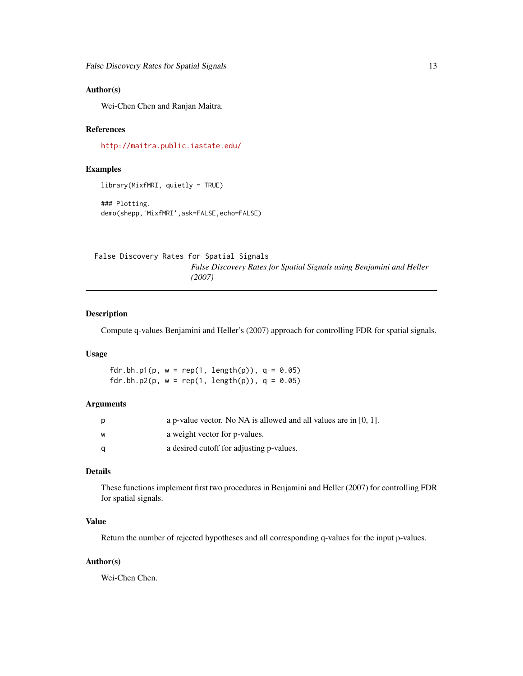#### <span id="page-12-0"></span>Author(s)

Wei-Chen Chen and Ranjan Maitra.

#### References

<http://maitra.public.iastate.edu/>

# Examples

```
library(MixfMRI, quietly = TRUE)
```
### Plotting. demo(shepp,'MixfMRI',ask=FALSE,echo=FALSE)

False Discovery Rates for Spatial Signals *False Discovery Rates for Spatial Signals using Benjamini and Heller (2007)*

# <span id="page-12-1"></span>Description

Compute q-values Benjamini and Heller's (2007) approach for controlling FDR for spatial signals.

#### Usage

fdr.bh.p1(p,  $w = rep(1, length(p)), q = 0.05)$ fdr.bh.p2(p,  $w = rep(1, length(p)), q = 0.05)$ 

#### Arguments

| p | a p-value vector. No NA is allowed and all values are in $[0, 1]$ . |
|---|---------------------------------------------------------------------|
| W | a weight vector for p-values.                                       |
| a | a desired cutoff for adjusting p-values.                            |

# Details

These functions implement first two procedures in Benjamini and Heller (2007) for controlling FDR for spatial signals.

# Value

Return the number of rejected hypotheses and all corresponding q-values for the input p-values.

### Author(s)

Wei-Chen Chen.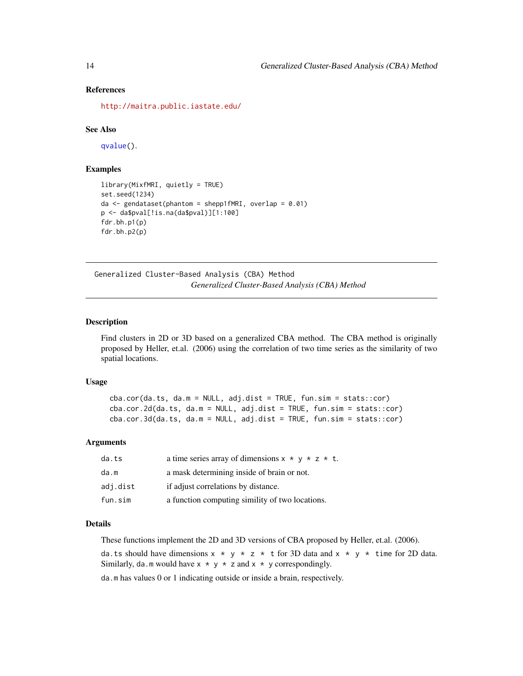#### References

<http://maitra.public.iastate.edu/>

#### See Also

[qvalue\(](#page-3-1)).

# Examples

```
library(MixfMRI, quietly = TRUE)
set.seed(1234)
da \leq gendataset(phantom = shepp1fMRI, overlap = 0.01)
p <- da$pval[!is.na(da$pval)][1:100]
fdr.bh.p1(p)
fdr.bh.p2(p)
```
Generalized Cluster-Based Analysis (CBA) Method *Generalized Cluster-Based Analysis (CBA) Method*

#### Description

Find clusters in 2D or 3D based on a generalized CBA method. The CBA method is originally proposed by Heller, et.al. (2006) using the correlation of two time series as the similarity of two spatial locations.

#### Usage

```
cba.cor(da.ts, da.m = NULL, adj.dist = TRUE, fun.sim = stats::cor)cba.cor.2d(da.ts, da.m = NULL, adj.dist = TRUE, fun.sim = stats::cor)
cba.cor.3d(da.ts, da.m = NULL, adi.dist = TRUE, fun.sim = stats::cor)
```
# **Arguments**

| da.ts    | a time series array of dimensions $x * y * z * t$ . |
|----------|-----------------------------------------------------|
| da.m     | a mask determining inside of brain or not.          |
| adi.dist | if adjust correlations by distance.                 |
| fun.sim  | a function computing simility of two locations.     |

# **Details**

These functions implement the 2D and 3D versions of CBA proposed by Heller, et.al. (2006).

da.ts should have dimensions  $x * y * z * t$  for 3D data and  $x * y * t$  ime for 2D data. Similarly, da.m would have  $x * y * z$  and  $x * y$  correspondingly.

da.m has values 0 or 1 indicating outside or inside a brain, respectively.

<span id="page-13-0"></span>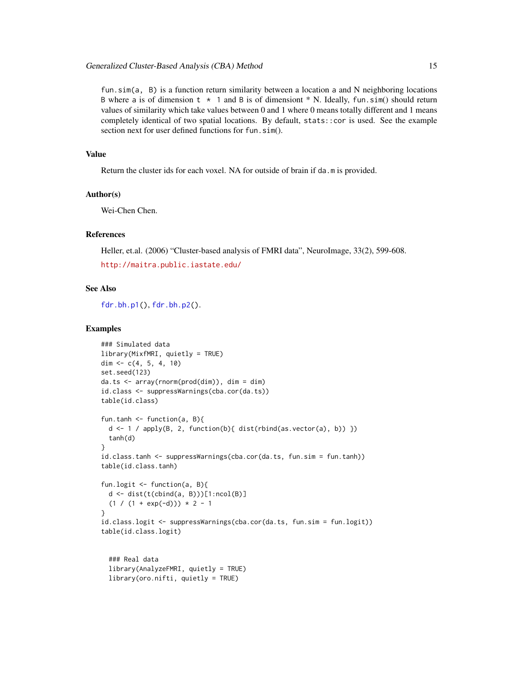<span id="page-14-0"></span>fun.sim(a, B) is a function return similarity between a location a and N neighboring locations B where a is of dimension  $t \times 1$  and B is of dimensiont  $*$  N. Ideally, fun.sim() should return values of similarity which take values between 0 and 1 where 0 means totally different and 1 means completely identical of two spatial locations. By default, stats::cor is used. See the example section next for user defined functions for fun.sim().

# Value

Return the cluster ids for each voxel. NA for outside of brain if da.m is provided.

# Author(s)

Wei-Chen Chen.

# References

Heller, et.al. (2006) "Cluster-based analysis of FMRI data", NeuroImage, 33(2), 599-608.

```
http://maitra.public.iastate.edu/
```
#### See Also

[fdr.bh.p1\(](#page-12-1)), [fdr.bh.p2\(](#page-12-1)).

#### Examples

```
### Simulated data
library(MixfMRI, quietly = TRUE)
dim \leq c(4, 5, 4, 10)set.seed(123)
da.ts <- array(rnorm(prod(dim)), dim = dim)
id.class <- suppressWarnings(cba.cor(da.ts))
table(id.class)
fun.tanh <- function(a, B){
  d <- 1 / apply(B, 2, function(b){ dist(rbind(as.vector(a), b)) })
  tanh(d)
}
id.class.tanh <- suppressWarnings(cba.cor(da.ts, fun.sim = fun.tanh))
table(id.class.tanh)
fun.logit \leq function(a, B){
  d <- dist(t(cbind(a, B)))[1:ncol(B)]
  (1 / (1 + \exp(-d))) * 2 - 1}
id.class.logit <- suppressWarnings(cba.cor(da.ts, fun.sim = fun.logit))
table(id.class.logit)
  ### Real data
  library(AnalyzeFMRI, quietly = TRUE)
  library(oro.nifti, quietly = TRUE)
```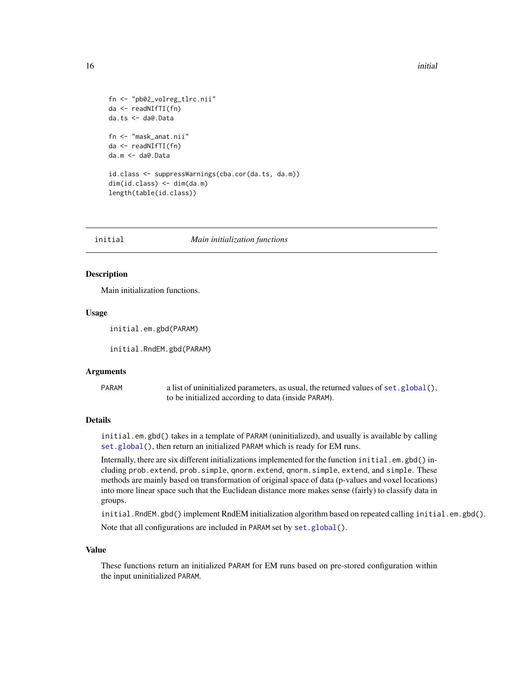```
fn <- "pb02_volreg_tlrc.nii"
da <- readNIfTI(fn)
da.ts <- da@.Data
fn <- "mask_anat.nii"
da <- readNIfTI(fn)
da.m <- da@.Data
id.class <- suppressWarnings(cba.cor(da.ts, da.m))
dim(id.class) <- dim(da.m)
length(table(id.class))
```
initial *Main initialization functions*

#### <span id="page-15-1"></span>Description

Main initialization functions.

#### Usage

initial.em.gbd(PARAM)

initial.RndEM.gbd(PARAM)

#### Arguments

PARAM a list of uninitialized parameters, as usual, the returned values of [set.global\(](#page-20-1)), to be initialized according to data (inside PARAM).

# Details

initial.em.gbd() takes in a template of PARAM (uninitialized), and usually is available by calling [set.global\(](#page-20-1)), then return an initialized PARAM which is ready for EM runs.

Internally, there are six different initializations implemented for the function initial.em.gbd() including prob.extend, prob.simple, qnorm.extend, qnorm.simple, extend, and simple. These methods are mainly based on transformation of original space of data (p-values and voxel locations) into more linear space such that the Euclidean distance more makes sense (fairly) to classify data in groups.

initial.RndEM.gbd() implement RndEM initialization algorithm based on repeated calling initial.em.gbd(). Note that all configurations are included in PARAM set by [set.global\(](#page-20-1)).

#### Value

These functions return an initialized PARAM for EM runs based on pre-stored configuration within the input uninitialized PARAM.

<span id="page-15-0"></span>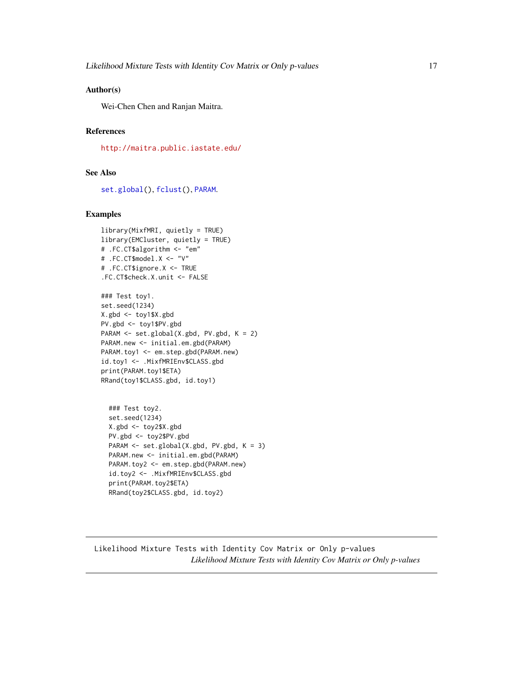#### <span id="page-16-0"></span>Author(s)

Wei-Chen Chen and Ranjan Maitra.

# References

<http://maitra.public.iastate.edu/>

#### See Also

[set.global\(](#page-20-1)), [fclust\(](#page-20-1)), [PARAM](#page-20-1).

#### Examples

```
library(MixfMRI, quietly = TRUE)
library(EMCluster, quietly = TRUE)
# .FC.CT$algorithm <- "em"
# .FC.CT$model.X <- "V"
# .FC.CT$ignore.X <- TRUE
.FC.CT$check.X.unit <- FALSE
```

```
### Test toy1.
set.seed(1234)
X.gbd <- toy1$X.gbd
PV.gbd <- toy1$PV.gbd
PARAM <- set.global(X.gbd, PV.gbd, K = 2)
PARAM.new <- initial.em.gbd(PARAM)
PARAM.toy1 <- em.step.gbd(PARAM.new)
id.toy1 <- .MixfMRIEnv$CLASS.gbd
print(PARAM.toy1$ETA)
RRand(toy1$CLASS.gbd, id.toy1)
```

```
### Test toy2.
set.seed(1234)
X.gbd <- toy2$X.gbd
PV.gbd <- toy2$PV.gbd
PARAM <- set.global(X.gbd, PV.gbd, K = 3)
PARAM.new <- initial.em.gbd(PARAM)
PARAM.toy2 <- em.step.gbd(PARAM.new)
id.toy2 <- .MixfMRIEnv$CLASS.gbd
print(PARAM.toy2$ETA)
RRand(toy2$CLASS.gbd, id.toy2)
```
Likelihood Mixture Tests with Identity Cov Matrix or Only p-values *Likelihood Mixture Tests with Identity Cov Matrix or Only p-values*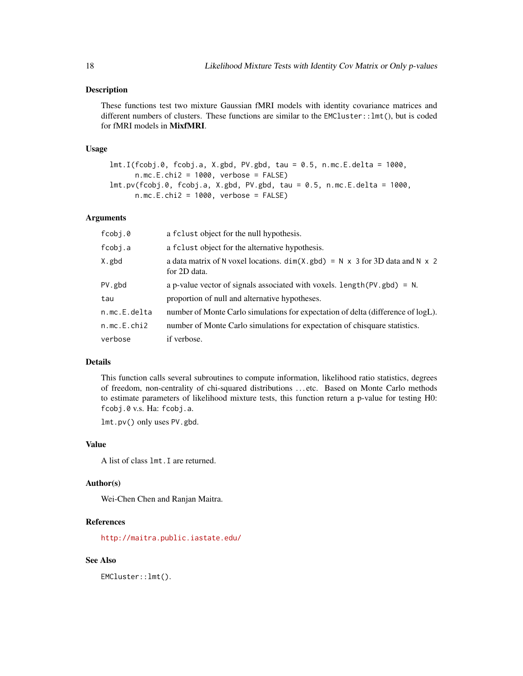#### Description

These functions test two mixture Gaussian fMRI models with identity covariance matrices and different numbers of clusters. These functions are similar to the  $EMCluster::lmt()$ , but is coded for fMRI models in MixfMRI.

#### Usage

```
lmt.I(fcobj.0, fcobj.a, X.gbd, PV.gbd, tau = 0.5, n.mc.E.delta = 1000,
     n.mc.E.chi2 = 1000, verbose = FALSE)
lmt.pv(fcobj.0, fcobj.a, X.gbd, PV.gbd, tau = 0.5, n.mc.E.delta = 1000,
     n.mc.E.chi2 = 1000, verbose = FALSE)
```
#### Arguments

| fcobj.0      | a fclust object for the null hypothesis.                                                                    |
|--------------|-------------------------------------------------------------------------------------------------------------|
| fcobj.a      | a f clust object for the alternative hypothesis.                                                            |
| X.gbd        | a data matrix of N voxel locations. $dim(X. gbd) = N \times 3$ for 3D data and N $\times$ 2<br>for 2D data. |
| PV.gbd       | a p-value vector of signals associated with voxels. length ( $PV$ , gbd) = N.                               |
| tau          | proportion of null and alternative hypotheses.                                                              |
| n.mc.E.delta | number of Monte Carlo simulations for expectation of delta (difference of logL).                            |
| n.mc.E.chi2  | number of Monte Carlo simulations for expectation of chisquare statistics.                                  |
| verbose      | if verbose.                                                                                                 |

# Details

This function calls several subroutines to compute information, likelihood ratio statistics, degrees of freedom, non-centrality of chi-squared distributions . . . etc. Based on Monte Carlo methods to estimate parameters of likelihood mixture tests, this function return a p-value for testing H0: fcobj.0 v.s. Ha: fcobj.a.

lmt.pv() only uses PV.gbd.

#### Value

A list of class lmt.I are returned.

# Author(s)

Wei-Chen Chen and Ranjan Maitra.

# References

<http://maitra.public.iastate.edu/>

#### See Also

EMCluster::lmt().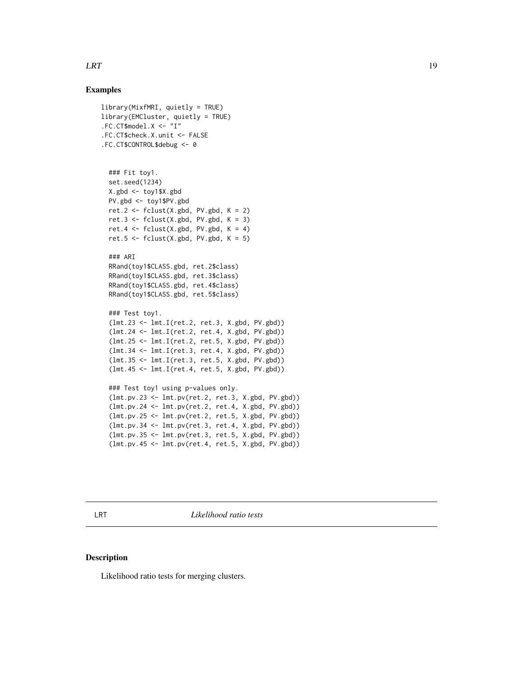# <span id="page-18-0"></span>Examples

```
library(MixfMRI, quietly = TRUE)
library(EMCluster, quietly = TRUE)
.FC.CT$model.X <- "I"
.FC.CT$check.X.unit <- FALSE
.FC.CT$CONTROL$debug <- 0
```

```
### Fit toy1.
set.seed(1234)
X.gbd <- toy1$X.gbd
PV.gbd <- toy1$PV.gbd
ret.2 <- fclust(X,gbd, PV.gbd, K = 2)ret.3 <- fclust(X,gbd, PV.gbd, K = 3)ret.4 \leftarrow fclust(X.gbd, PV.gbd, K = 4)
ret.5 \le fclust(X.gbd, PV.gbd, K = 5)
```

```
### ARI
RRand(toy1$CLASS.gbd, ret.2$class)
RRand(toy1$CLASS.gbd, ret.3$class)
RRand(toy1$CLASS.gbd, ret.4$class)
RRand(toy1$CLASS.gbd, ret.5$class)
```

```
### Test toy1.
(lmt.23 <- lmt.I(ret.2, ret.3, X.gbd, PV.gbd))
(lmt.24 <- lmt.I(ret.2, ret.4, X.gbd, PV.gbd))
(lmt.25 <- lmt.I(ret.2, ret.5, X.gbd, PV.gbd))
(lmt.34 <- lmt.I(ret.3, ret.4, X.gbd, PV.gbd))
(lmt.35 <- lmt.I(ret.3, ret.5, X.gbd, PV.gbd))
(lmt.45 <- lmt.I(ret.4, ret.5, X.gbd, PV.gbd))
### Test toy1 using p-values only.
```

```
(lmt.pv.23 <- lmt.pv(ret.2, ret.3, X.gbd, PV.gbd))
(lmt.pv.24 <- lmt.pv(ret.2, ret.4, X.gbd, PV.gbd))
(lmt.pv.25 <- lmt.pv(ret.2, ret.5, X.gbd, PV.gbd))
(lmt.pv.34 <- lmt.pv(ret.3, ret.4, X.gbd, PV.gbd))
(lmt.pv.35 <- lmt.pv(ret.3, ret.5, X.gbd, PV.gbd))
(lmt.pv.45 <- lmt.pv(ret.4, ret.5, X.gbd, PV.gbd))
```

```
LRT Likelihood ratio tests
```
#### Description

Likelihood ratio tests for merging clusters.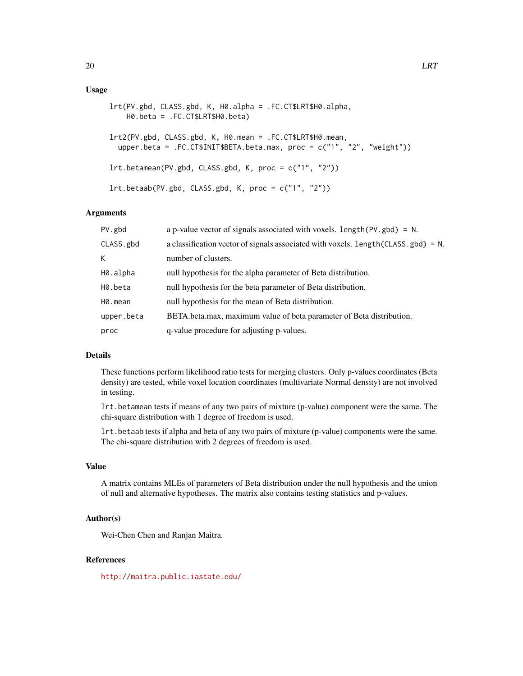#### Usage

```
lrt(PV.gbd, CLASS.gbd, K, H0.alpha = .FC.CT$LRT$H0.alpha,
   H0.beta = .FC.CT$LRT$H0.beta)
lrt2(PV.gbd, CLASS.gbd, K, H0.mean = .FC.CT$LRT$H0.mean,
 upper.beta = .FC.CT$INIT$BETA.beta.max, proc = c("1", "2", "weight"))
lrt.betamean(PV.gbd, CLASS.gbd, K, proc = c("1", "2"))
lrt.betaab(PV.gbd, CLASS.gbd, K, proc = c("1", "2"))
```
#### Arguments

| PV.gbd     | a p-value vector of signals associated with voxels. length $(PV, gbd) = N$ .          |
|------------|---------------------------------------------------------------------------------------|
| CLASS.gbd  | a classification vector of signals associated with voxels. $length(CLASS, gbd) = N$ . |
| K.         | number of clusters.                                                                   |
| H0.alpha   | null hypothesis for the alpha parameter of Beta distribution.                         |
| H0.beta    | null hypothesis for the beta parameter of Beta distribution.                          |
| H0.mean    | null hypothesis for the mean of Beta distribution.                                    |
| upper.beta | BETA.beta.max, maximum value of beta parameter of Beta distribution.                  |
| proc       | q-value procedure for adjusting p-values.                                             |
|            |                                                                                       |

#### Details

These functions perform likelihood ratio tests for merging clusters. Only p-values coordinates (Beta density) are tested, while voxel location coordinates (multivariate Normal density) are not involved in testing.

lrt.betamean tests if means of any two pairs of mixture (p-value) component were the same. The chi-square distribution with 1 degree of freedom is used.

lrt.betaab tests if alpha and beta of any two pairs of mixture (p-value) components were the same. The chi-square distribution with 2 degrees of freedom is used.

#### Value

A matrix contains MLEs of parameters of Beta distribution under the null hypothesis and the union of null and alternative hypotheses. The matrix also contains testing statistics and p-values.

#### Author(s)

Wei-Chen Chen and Ranjan Maitra.

#### References

<http://maitra.public.iastate.edu/>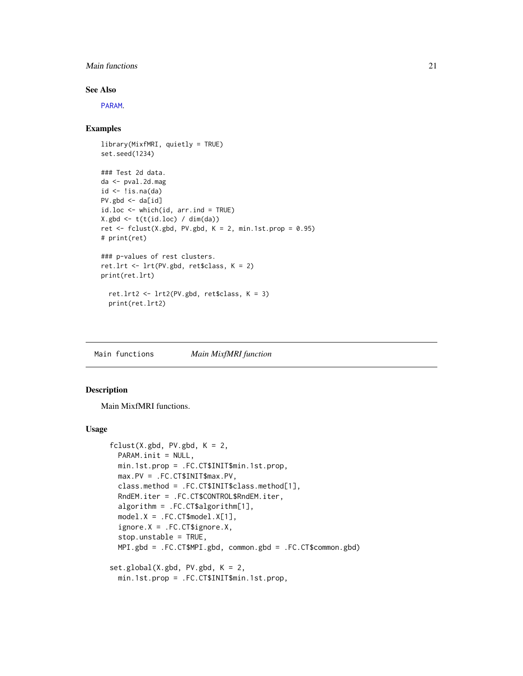#### <span id="page-20-0"></span>Main functions 21

# See Also

[PARAM](#page-20-1).

### Examples

```
library(MixfMRI, quietly = TRUE)
set.seed(1234)
### Test 2d data.
da <- pval.2d.mag
id \leftarrow !is.na(da)PV.gbd \leq - da[id]
id.loc <- which(id, arr.ind = TRUE)
X.gbd \leftarrow t(t(id.loc) / dim(da))ret \le fclust(X.gbd, PV.gbd, K = 2, min.1st.prop = 0.95)
# print(ret)
### p-values of rest clusters.
ret.lrt <- lrt(PV.gbd, ret$class, K = 2)
print(ret.lrt)
  ret.lrt2 <- lrt2(PV.gbd, ret$class, K = 3)
  print(ret.lrt2)
```
Main functions *Main MixfMRI function*

# <span id="page-20-1"></span>Description

Main MixfMRI functions.

#### Usage

```
fclust(X.gbd, PV.gbd, K = 2,PARAM.init = NULL,
 min.1st.prop = .FC.CT$INIT$min.1st.prop,
 max.PV = .FC.CT$INIT$max.PV,
 class.method = .FC.CT$INIT$class.method[1],
 RndEM.iter = .FC.CT$CONTROL$RndEM.iter,
 algorithm = .FC.CT$algorithm[1],
 model.X = .FC.CT$model.X[1],
 ignore.X = .FC.CT$ignore.X,
 stop.unstable = TRUE,
 MPI.gbd = .FC.CT$MPI.gbd, common.gbd = .FC.CT$common.gbd)
set.global(X.gbd, PV.gbd, K = 2,
 min.1st.prop = .FC.CT$INIT$min.1st.prop,
```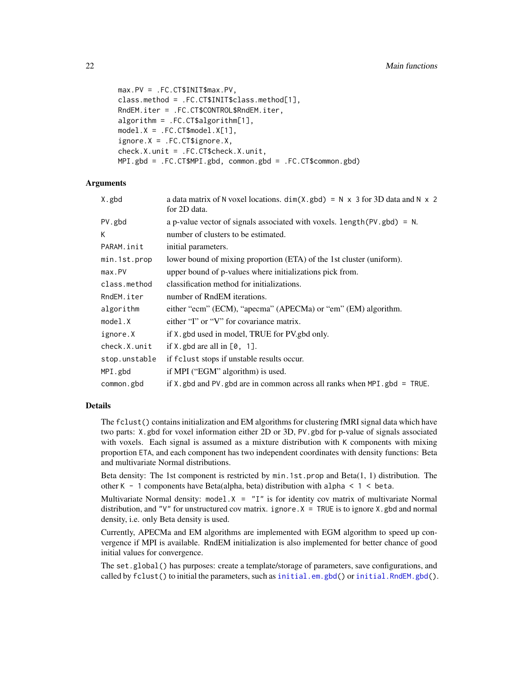```
max.PV = .FC.CT$INIT$max.PV,
class.method = .FC.CT$INIT$class.method[1],
RndEM.iter = .FC.CT$CONTROL$RndEM.iter,
algorithm = .FC.CT$algorithm[1],
model.X = .FC.CT$model.X[1],
ignore.X = .FC.CT$ignore.X,
check.X.unit = .FC.CT$check.X.unit,
MPI.gbd = .FC.CT$MPI.gbd, common.gbd = .FC.CT$common.gbd)
```
# Arguments

| X.gbd         | a data matrix of N voxel locations. $dim(X. gbd) = N \times 3$ for 3D data and N $\times$ 2<br>for 2D data. |
|---------------|-------------------------------------------------------------------------------------------------------------|
| PV.gbd        | a p-value vector of signals associated with voxels. $length(PV, gbd) = N$ .                                 |
| K             | number of clusters to be estimated.                                                                         |
| PARAM.init    | initial parameters.                                                                                         |
| min.1st.prop  | lower bound of mixing proportion (ETA) of the 1st cluster (uniform).                                        |
| max.PV        | upper bound of p-values where initializations pick from.                                                    |
| class.method  | classification method for initializations.                                                                  |
| RndEM.iter    | number of RndEM iterations.                                                                                 |
| algorithm     | either "ecm" (ECM), "apecma" (APECMa) or "em" (EM) algorithm.                                               |
| model.X       | either "I" or "V" for covariance matrix.                                                                    |
| ignore.X      | if X, gbd used in model, TRUE for PV gbd only.                                                              |
| check.X.unit  | if X, gbd are all in $[0, 1]$ .                                                                             |
| stop.unstable | if f clust stops if unstable results occur.                                                                 |
| MPI.gbd       | if MPI ("EGM" algorithm) is used.                                                                           |
| common.gbd    | if $X$ , gbd and PV, gbd are in common across all ranks when MPI, gbd = TRUE.                               |
|               |                                                                                                             |

#### Details

The fclust() contains initialization and EM algorithms for clustering fMRI signal data which have two parts: X.gbd for voxel information either 2D or 3D, PV.gbd for p-value of signals associated with voxels. Each signal is assumed as a mixture distribution with K components with mixing proportion ETA, and each component has two independent coordinates with density functions: Beta and multivariate Normal distributions.

Beta density: The 1st component is restricted by min.1st.prop and Beta(1, 1) distribution. The other K - 1 components have Beta(alpha, beta) distribution with alpha < 1 < beta.

Multivariate Normal density: model. $X = "I"$  is for identity cov matrix of multivariate Normal distribution, and "V" for unstructured cov matrix. ignore  $X = TRUE$  is to ignore X, gbd and normal density, i.e. only Beta density is used.

Currently, APECMa and EM algorithms are implemented with EGM algorithm to speed up convergence if MPI is available. RndEM initialization is also implemented for better chance of good initial values for convergence.

The set.global() has purposes: create a template/storage of parameters, save configurations, and called by  $fclust()$  to initial the parameters, such as [initial.em.gbd\(](#page-15-1)) or [initial.RndEM.gbd\(](#page-15-1)).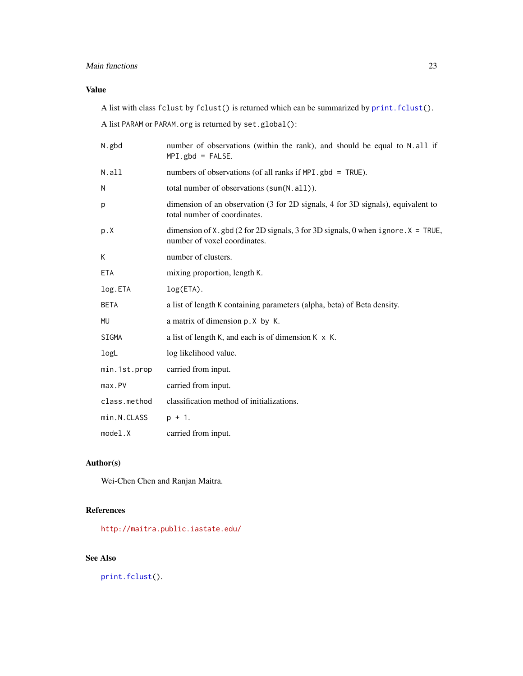# <span id="page-22-0"></span>Main functions 23

# Value

A list with class fclust by fclust() is returned which can be summarized by [print.fclust\(](#page-27-1)).

A list PARAM or PARAM.org is returned by set.global():

| N.gbd        | number of observations (within the rank), and should be equal to N.all if<br>$MPI.gbd = FALSE.$                      |
|--------------|----------------------------------------------------------------------------------------------------------------------|
| N.all        | numbers of observations (of all ranks if MPI .gbd = TRUE).                                                           |
| N            | total number of observations (sum(N.all)).                                                                           |
| p            | dimension of an observation (3 for 2D signals, 4 for 3D signals), equivalent to<br>total number of coordinates.      |
| p.X          | dimension of X. gbd (2 for 2D signals, 3 for 3D signals, 0 when ignore. $X = TRUE$ ,<br>number of voxel coordinates. |
| K            | number of clusters.                                                                                                  |
| <b>ETA</b>   | mixing proportion, length K.                                                                                         |
| log.ETA      | $log(ETA)$ .                                                                                                         |
| <b>BETA</b>  | a list of length K containing parameters (alpha, beta) of Beta density.                                              |
| MU           | a matrix of dimension p. X by K.                                                                                     |
| SIGMA        | a list of length K, and each is of dimension $K \times K$ .                                                          |
| logL         | log likelihood value.                                                                                                |
| min.1st.prop | carried from input.                                                                                                  |
| max.PV       | carried from input.                                                                                                  |
| class.method | classification method of initializations.                                                                            |
| min.N.CLASS  | $p + 1$ .                                                                                                            |
| model.X      | carried from input.                                                                                                  |

# Author(s)

Wei-Chen Chen and Ranjan Maitra.

# References

<http://maitra.public.iastate.edu/>

# See Also

[print.fclust\(](#page-27-1)).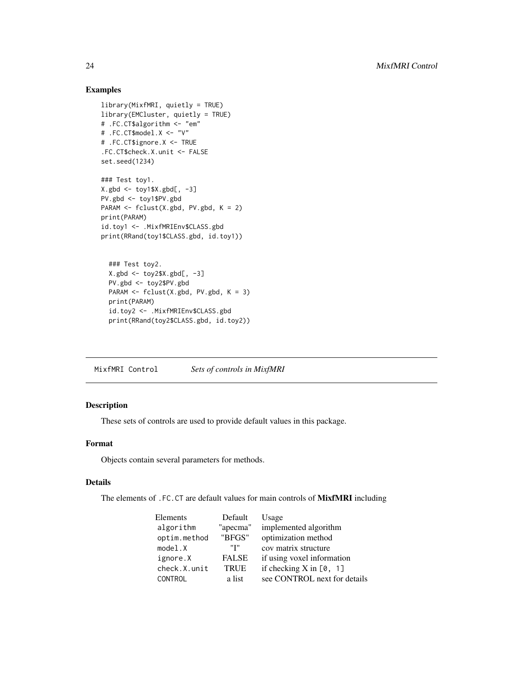# Examples

```
library(MixfMRI, quietly = TRUE)
library(EMCluster, quietly = TRUE)
# .FC.CT$algorithm <- "em"
# .FC.CT$model.X <- "V"
# .FC.CT$ignore.X <- TRUE
.FC.CT$check.X.unit <- FALSE
set.seed(1234)
### Test toy1.
X.gbd <- toy1$X.gbd[, -3]
PV.gbd <- toy1$PV.gbd
PARAM <- fclust(X.gbd, PV.gbd, K = 2)
print(PARAM)
id.toy1 <- .MixfMRIEnv$CLASS.gbd
print(RRand(toy1$CLASS.gbd, id.toy1))
  ### Test toy2.
```

```
X.gbd <- toy2$X.gbd[, -3]
PV.gbd <- toy2$PV.gbd
PARAM <- fclust(X.gbd, PV.gbd, K = 3)
print(PARAM)
id.toy2 <- .MixfMRIEnv$CLASS.gbd
print(RRand(toy2$CLASS.gbd, id.toy2))
```
MixfMRI Control *Sets of controls in MixfMRI*

# Description

These sets of controls are used to provide default values in this package.

#### Format

Objects contain several parameters for methods.

#### Details

The elements of .FC.CT are default values for main controls of MixfMRI including

| Elements     | Default      | Usage                        |
|--------------|--------------|------------------------------|
| algorithm    | "apecma"     | implemented algorithm        |
| optim.method | "BFGS"       | optimization method          |
| model.X      | "T"          | cov matrix structure         |
| ignore.X     | <b>FALSE</b> | if using voxel information   |
| check.X.unit | <b>TRUE</b>  | if checking $X$ in $[0, 1]$  |
| CONTROL      | a list       | see CONTROL next for details |

<span id="page-23-0"></span>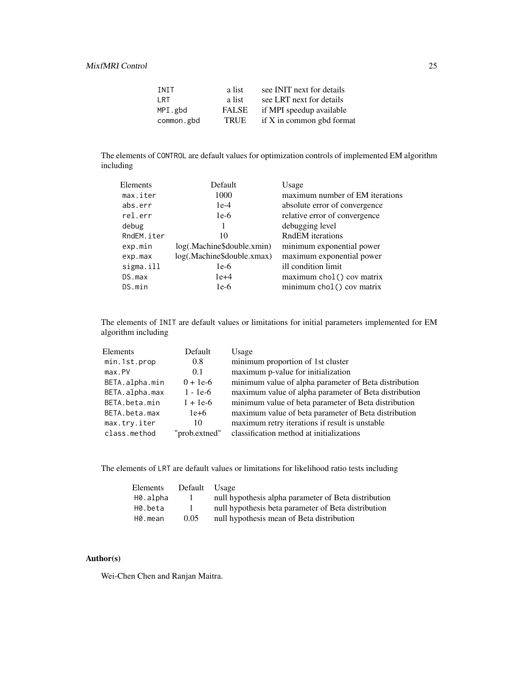| <b>TNTT</b> | a list       | see INIT next for details |
|-------------|--------------|---------------------------|
| I RT        | a list       | see LRT next for details  |
| MPI.gbd     | <b>FALSE</b> | if MPI speedup available  |
| common.gbd  | <b>TRUE</b>  | if X in common gbd format |

The elements of CONTROL are default values for optimization controls of implemented EM algorithm including

| Elements   | Default                    | Usage                           |
|------------|----------------------------|---------------------------------|
| max.iter   | 1000                       | maximum number of EM iterations |
| abs.err    | $1e-4$                     | absolute error of convergence   |
| rel.err    | $1e-6$                     | relative error of convergence   |
| debug      |                            | debugging level                 |
| RndEM.iter | 10                         | RndEM iterations                |
| exp.min    | log(.Machine\$double.xmin) | minimum exponential power       |
| exp.max    | log(.Machine\$double.xmax) | maximum exponential power       |
| sigma.ill  | $1e-6$                     | ill condition limit             |
| DS.max     | $1e+4$                     | maximum chol() cov matrix       |
| DS.min     | $1e-6$                     | minimum chol() cov matrix       |
|            |                            |                                 |

The elements of INIT are default values or limitations for initial parameters implemented for EM algorithm including

| Elements       | Default       | Usage                                                 |
|----------------|---------------|-------------------------------------------------------|
| min.1st.prop   | 0.8           | minimum proportion of 1st cluster                     |
| max.PV         | 0.1           | maximum p-value for initialization                    |
| BETA.alpha.min | $0 + 1e^{-6}$ | minimum value of alpha parameter of Beta distribution |
| BETA.alpha.max | $1 - 1e-6$    | maximum value of alpha parameter of Beta distribution |
| BETA.beta.min  | $1 + 1e-6$    | minimum value of beta parameter of Beta distribution  |
| BETA.beta.max  | $1e+6$        | maximum value of beta parameter of Beta distribution  |
| max.try.iter   | 10            | maximum retry iterations if result is unstable        |
| class.method   | "prob.extned" | classification method at initializations              |
|                |               |                                                       |

The elements of LRT are default values or limitations for likelihood ratio tests including

| Elements | Default Usage |                                                      |
|----------|---------------|------------------------------------------------------|
| H0.alpha | $\perp$       | null hypothesis alpha parameter of Beta distribution |
| H0.beta  | $\mathbf{I}$  | null hypothesis beta parameter of Beta distribution  |
| H0.mean  | 0.05          | null hypothesis mean of Beta distribution            |

# Author(s)

Wei-Chen Chen and Ranjan Maitra.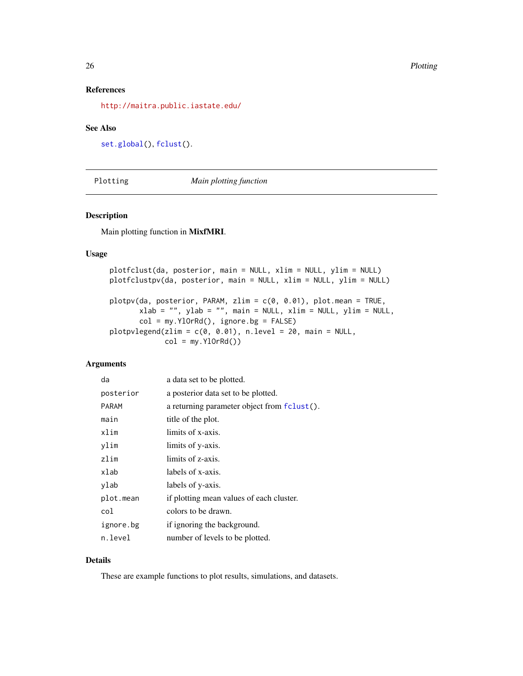# References

<http://maitra.public.iastate.edu/>

#### See Also

```
set.global(), fclust().
```
Plotting *Main plotting function*

# Description

Main plotting function in MixfMRI.

#### Usage

plotfclust(da, posterior, main = NULL, xlim = NULL, ylim = NULL) plotfclustpv(da, posterior, main = NULL, xlim = NULL, ylim = NULL) plotpv(da, posterior, PARAM, zlim = c(0, 0.01), plot.mean = TRUE,  $x$ lab = "", ylab = "", main = NULL, xlim = NULL, ylim = NULL,  $col = my.Y10rRd(), ignore.bg = FALSE)$ plotpvlegend(zlim =  $c(0, 0.01)$ , n.level = 20, main = NULL,  $col = my.Y10rRd()$ 

#### Arguments

| da           | a data set to be plotted.                   |
|--------------|---------------------------------------------|
| posterior    | a posterior data set to be plotted.         |
| <b>PARAM</b> | a returning parameter object from fclust(). |
| main         | title of the plot.                          |
| xlim         | limits of x-axis.                           |
| ylim         | limits of y-axis.                           |
| zlim         | limits of z-axis.                           |
| xlab         | labels of x-axis.                           |
| ylab         | labels of y-axis.                           |
| plot.mean    | if plotting mean values of each cluster.    |
| col          | colors to be drawn.                         |
| ignore.bg    | if ignoring the background.                 |
| n.level      | number of levels to be plotted.             |

# Details

These are example functions to plot results, simulations, and datasets.

<span id="page-25-0"></span>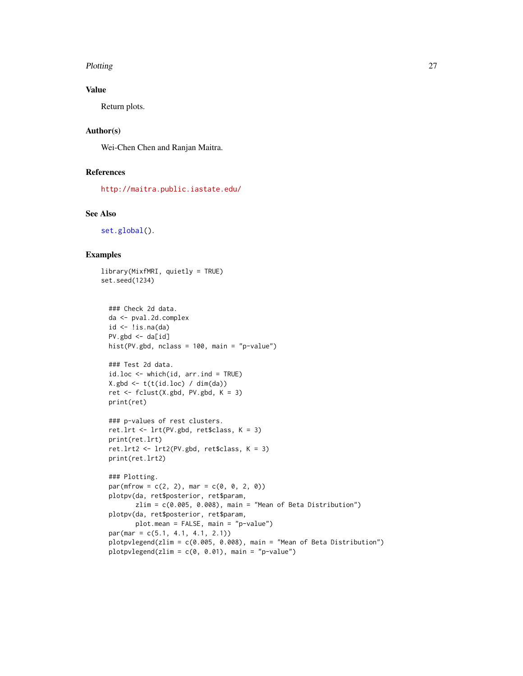#### Plotting 27

# Value

Return plots.

# Author(s)

Wei-Chen Chen and Ranjan Maitra.

# References

<http://maitra.public.iastate.edu/>

#### See Also

[set.global\(](#page-20-1)).

# Examples

```
library(MixfMRI, quietly = TRUE)
set.seed(1234)
```

```
### Check 2d data.
da <- pval.2d.complex
id \leftarrow !is.na(da)PV.gbd \leftarrow da[id]hist(PV.gbd, nclass = 100, main = "p-value")
```

```
### Test 2d data.
id.loc \leq which(id, arr.ind = TRUE)X.gbd <- t(t(id.loc) / dim(da))
ret <- fclust(X.gbd, PV.gbd, K = 3)
print(ret)
```

```
### p-values of rest clusters.
ret.lrt <- lrt(PV.gbd, ret$class, K = 3)
print(ret.lrt)
ret.lrt2 <- lrt2(PV.gbd, ret$class, K = 3)
print(ret.lrt2)
```

```
### Plotting.
par(mfrow = c(2, 2), mar = c(0, 0, 2, 0))plotpv(da, ret$posterior, ret$param,
      zlim = c(0.005, 0.008), main = "Mean of Beta Distribution")
plotpv(da, ret$posterior, ret$param,
      plot.mean = FALSE, main = "p-value")
par(max = c(5.1, 4.1, 4.1, 2.1))plotpvlegend(zlim = c(0.005, 0.008), main = "Mean of Beta Distribution")
plotpvlegend(zlim = c(0, 0.01), main = "p-value")
```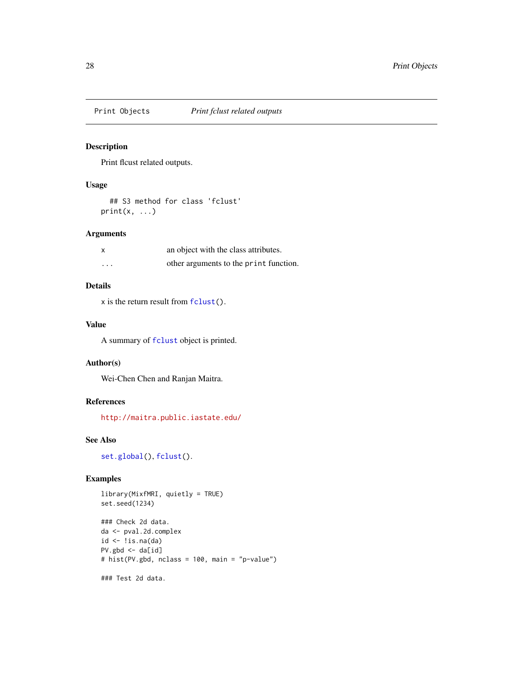<span id="page-27-0"></span>

# <span id="page-27-1"></span>Description

Print flcust related outputs.

# Usage

```
## S3 method for class 'fclust'
print(x, \ldots)
```
# Arguments

| X        | an object with the class attributes.   |
|----------|----------------------------------------|
| $\cdots$ | other arguments to the print function. |

# Details

x is the return result from [fclust\(](#page-20-1)).

# Value

A summary of [fclust](#page-20-1) object is printed.

# Author(s)

Wei-Chen Chen and Ranjan Maitra.

# References

<http://maitra.public.iastate.edu/>

# See Also

[set.global\(](#page-20-1)), [fclust\(](#page-20-1)).

# Examples

```
library(MixfMRI, quietly = TRUE)
set.seed(1234)
### Check 2d data.
```

```
da <- pval.2d.complex
id \leftarrow !is.na(da)PV.gbd \leftarrow da[id]
# hist(PV.gbd, nclass = 100, main = "p-value")
```
### Test 2d data.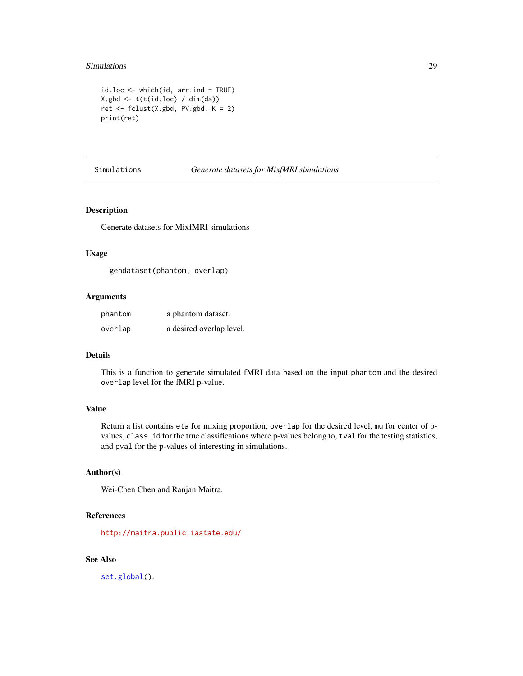#### <span id="page-28-0"></span>Simulations 29

```
id.loc \leq which(id, arr.ind = TRUE)X.gbd \leftarrow t(t(id.loc) / dim(da))ret <- fclust(X.gbd, PV.gbd, K = 2)
print(ret)
```
# Simulations *Generate datasets for MixfMRI simulations*

#### <span id="page-28-1"></span>Description

Generate datasets for MixfMRI simulations

# Usage

gendataset(phantom, overlap)

# Arguments

| phantom | a phantom dataset.       |
|---------|--------------------------|
| overlap | a desired overlap level. |

#### Details

This is a function to generate simulated fMRI data based on the input phantom and the desired overlap level for the fMRI p-value.

#### Value

Return a list contains eta for mixing proportion, overlap for the desired level, mu for center of pvalues, class.id for the true classifications where p-values belong to, tval for the testing statistics, and pval for the p-values of interesting in simulations.

#### Author(s)

Wei-Chen Chen and Ranjan Maitra.

#### References

<http://maitra.public.iastate.edu/>

# See Also

[set.global\(](#page-20-1)).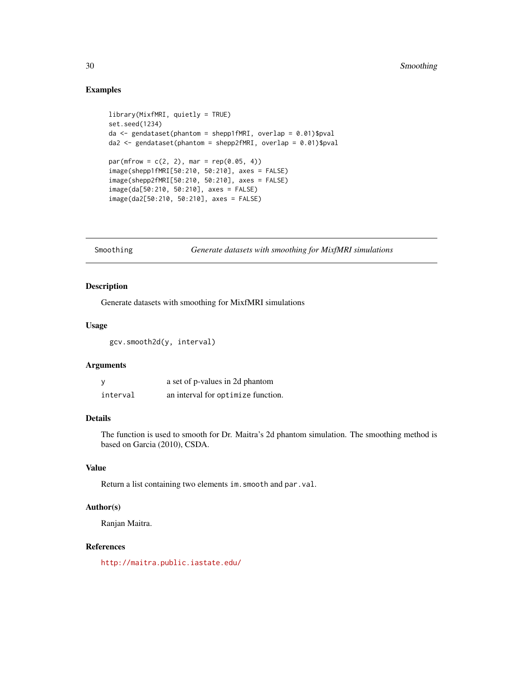# Examples

```
library(MixfMRI, quietly = TRUE)
set.seed(1234)
da <- gendataset(phantom = shepp1fMRI, overlap = 0.01)$pval
da2 <- gendataset(phantom = shepp2fMRI, overlap = 0.01)$pval
par(mfrow = c(2, 2), mar = rep(0.05, 4))image(shepp1fMRI[50:210, 50:210], axes = FALSE)
image(shepp2fMRI[50:210, 50:210], axes = FALSE)
image(da[50:210, 50:210], axes = FALSE)
image(da2[50:210, 50:210], axes = FALSE)
```
Smoothing *Generate datasets with smoothing for MixfMRI simulations*

# Description

Generate datasets with smoothing for MixfMRI simulations

#### Usage

gcv.smooth2d(y, interval)

# Arguments

|          | a set of p-values in 2d phantom    |
|----------|------------------------------------|
| interval | an interval for optimize function. |

# Details

The function is used to smooth for Dr. Maitra's 2d phantom simulation. The smoothing method is based on Garcia (2010), CSDA.

# Value

Return a list containing two elements im.smooth and par.val.

# Author(s)

Ranjan Maitra.

#### References

<http://maitra.public.iastate.edu/>

<span id="page-29-0"></span>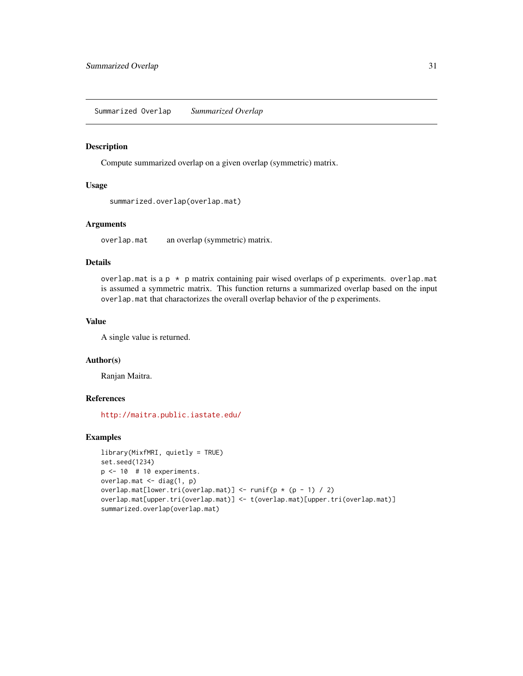# <span id="page-30-0"></span>Description

Compute summarized overlap on a given overlap (symmetric) matrix.

#### Usage

```
summarized.overlap(overlap.mat)
```
#### Arguments

overlap.mat an overlap (symmetric) matrix.

# Details

overlap.mat is a  $p \times p$  matrix containing pair wised overlaps of p experiments. overlap.mat is assumed a symmetric matrix. This function returns a summarized overlap based on the input overlap.mat that charactorizes the overall overlap behavior of the p experiments.

#### Value

A single value is returned.

#### Author(s)

Ranjan Maitra.

#### References

<http://maitra.public.iastate.edu/>

# Examples

```
library(MixfMRI, quietly = TRUE)
set.seed(1234)
p \le -10 # 10 experiments.
overlap.mat <- diag(1, p)
overlap.mat[lower.tri(overlap.mat)] <- runif(p * (p - 1) / 2)
overlap.mat[upper.tri(overlap.mat)] <- t(overlap.mat)[upper.tri(overlap.mat)]
summarized.overlap(overlap.mat)
```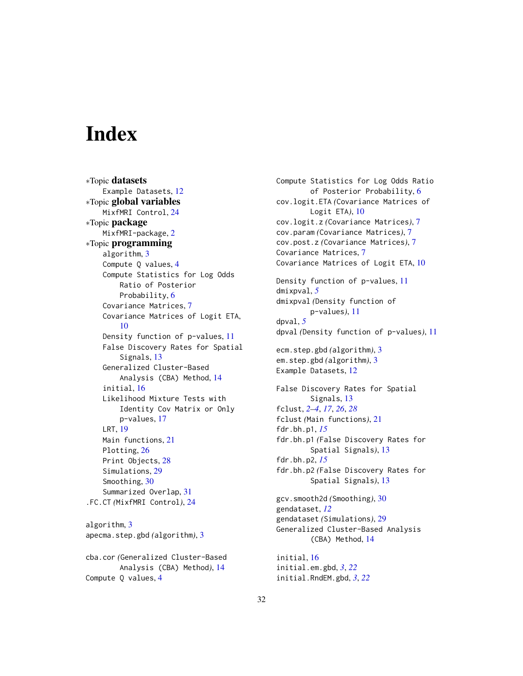# <span id="page-31-0"></span>**Index**

∗Topic datasets Example Datasets, [12](#page-11-0) ∗Topic global variables MixfMRI Control, [24](#page-23-0) ∗Topic package MixfMRI-package, [2](#page-1-0) ∗Topic programming algorithm, [3](#page-2-0) Compute Q values, [4](#page-3-0) Compute Statistics for Log Odds Ratio of Posterior Probability, [6](#page-5-0) Covariance Matrices, [7](#page-6-0) Covariance Matrices of Logit ETA, [10](#page-9-0) Density function of p-values, [11](#page-10-0) False Discovery Rates for Spatial Signals, [13](#page-12-0) Generalized Cluster-Based Analysis (CBA) Method, [14](#page-13-0) initial, [16](#page-15-0) Likelihood Mixture Tests with Identity Cov Matrix or Only p-values, [17](#page-16-0) LRT, [19](#page-18-0) Main functions, [21](#page-20-0) Plotting, [26](#page-25-0) Print Objects, [28](#page-27-0) Simulations, [29](#page-28-0) Smoothing, [30](#page-29-0) Summarized Overlap, [31](#page-30-0) .FC.CT *(*MixfMRI Control*)*, [24](#page-23-0) algorithm, [3](#page-2-0) apecma.step.gbd *(*algorithm*)*, [3](#page-2-0)

cba.cor *(*Generalized Cluster-Based Analysis (CBA) Method*)*, [14](#page-13-0) Compute Q values, [4](#page-3-0)

Compute Statistics for Log Odds Ratio of Posterior Probability, [6](#page-5-0) cov.logit.ETA *(*Covariance Matrices of Logit ETA*)*, [10](#page-9-0) cov.logit.z *(*Covariance Matrices*)*, [7](#page-6-0) cov.param *(*Covariance Matrices*)*, [7](#page-6-0) cov.post.z *(*Covariance Matrices*)*, [7](#page-6-0) Covariance Matrices, [7](#page-6-0) Covariance Matrices of Logit ETA, [10](#page-9-0) Density function of p-values, [11](#page-10-0) dmixpval, *[5](#page-4-0)* dmixpval *(*Density function of p-values*)*, [11](#page-10-0) dpval, *[5](#page-4-0)* dpval *(*Density function of p-values*)*, [11](#page-10-0) ecm.step.gbd *(*algorithm*)*, [3](#page-2-0) em.step.gbd *(*algorithm*)*, [3](#page-2-0) Example Datasets, [12](#page-11-0) False Discovery Rates for Spatial Signals, [13](#page-12-0) fclust, *[2](#page-1-0)[–4](#page-3-0)*, *[17](#page-16-0)*, *[26](#page-25-0)*, *[28](#page-27-0)* fclust *(*Main functions*)*, [21](#page-20-0) fdr.bh.p1, *[15](#page-14-0)* fdr.bh.p1 *(*False Discovery Rates for Spatial Signals*)*, [13](#page-12-0) fdr.bh.p2, *[15](#page-14-0)* fdr.bh.p2 *(*False Discovery Rates for Spatial Signals*)*, [13](#page-12-0) gcv.smooth2d *(*Smoothing*)*, [30](#page-29-0) gendataset, *[12](#page-11-0)* gendataset *(*Simulations*)*, [29](#page-28-0) Generalized Cluster-Based Analysis (CBA) Method, [14](#page-13-0) initial, [16](#page-15-0) initial.em.gbd, *[3](#page-2-0)*, *[22](#page-21-0)*

initial.RndEM.gbd, *[3](#page-2-0)*, *[22](#page-21-0)*